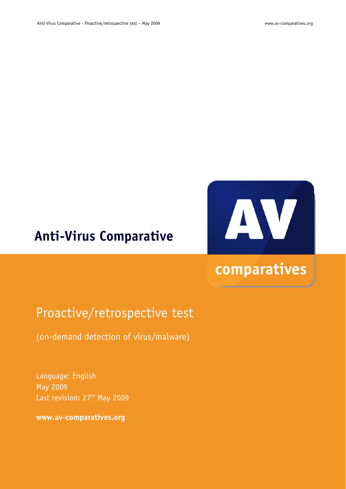## **Anti-Virus Comparative**

# AV

# comparatives

## Proactive/retrospective test

(on-demand detection of virus/malware)

Language: English May 2009 Last revision: 27<sup>th</sup> May 2009

**www.av-comparatives.org**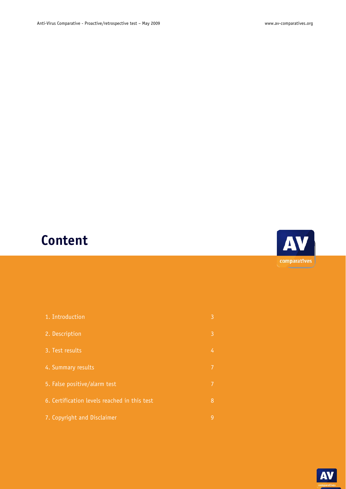# **Content**

| 1. Introduction                              | 3 |
|----------------------------------------------|---|
| 2. Description                               | 3 |
| 3. Test results                              | 4 |
| 4. Summary results                           | 7 |
| 5. False positive/alarm test                 | 7 |
| 6. Certification levels reached in this test | 8 |
| 7. Copyright and Disclaimer                  | 9 |
|                                              |   |



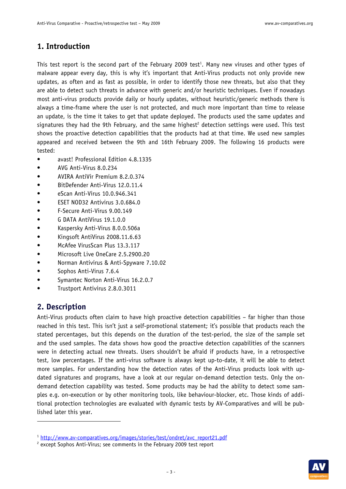#### **1. Introduction**

This test report is the second part of the February 2009 test<sup>1</sup>. Many new viruses and other types of malware appear every day, this is why it's important that Anti-Virus products not only provide new updates, as often and as fast as possible, in order to identify those new threats, but also that they are able to detect such threats in advance with generic and/or heuristic techniques. Even if nowadays most anti-virus products provide daily or hourly updates, without heuristic/generic methods there is always a time-frame where the user is not protected, and much more important than time to release an update, is the time it takes to get that update deployed. The products used the same updates and signatures they had the 9th February, and the same highest<sup>2</sup> detection settings were used. This test shows the proactive detection capabilities that the products had at that time. We used new samples appeared and received between the 9th and 16th February 2009. The following 16 products were tested:

- avast! Professional Edition 4.8.1335
- AVG Anti-Virus 8.0.234
- AVIRA AntiVir Premium 8.2.0.374
- BitDefender Anti-Virus 12.0.11.4
- eScan Anti-Virus 10.0.946.341
- ESET NOD32 Antivirus 3.0.684.0
- F-Secure Anti-Virus 9.00.149
- G DATA AntiVirus 19.1.0.0
- Kaspersky Anti-Virus 8.0.0.506a
- Kingsoft AntiVirus 2008.11.6.63
- McAfee VirusScan Plus 13.3.117
- Microsoft Live OneCare 2.5.2900.20
- Norman Antivirus & Anti-Spyware 7.10.02
- Sophos Anti-Virus 7.6.4
- Symantec Norton Anti-Virus 16.2.0.7
- Trustport Antivirus 2.8.0.3011

#### **2. Description**

-

Anti-Virus products often claim to have high proactive detection capabilities – far higher than those reached in this test. This isn't just a self-promotional statement; it's possible that products reach the stated percentages, but this depends on the duration of the test-period, the size of the sample set and the used samples. The data shows how good the proactive detection capabilities of the scanners were in detecting actual new threats. Users shouldn't be afraid if products have, in a retrospective test, low percentages. If the anti-virus software is always kept up-to-date, it will be able to detect more samples. For understanding how the detection rates of the Anti-Virus products look with updated signatures and programs, have a look at our regular on-demand detection tests. Only the ondemand detection capability was tested. Some products may be had the ability to detect some samples e.g. on-execution or by other monitoring tools, like behaviour-blocker, etc. Those kinds of additional protection technologies are evaluated with dynamic tests by AV-Comparatives and will be published later this year.



<sup>&</sup>lt;sup>1</sup> http://www.av-comparatives.org/images/stories/test/ondret/avc\_report21.pdf

<sup>&</sup>lt;sup>2</sup> except Sophos Anti-Virus; see comments in the February 2009 test report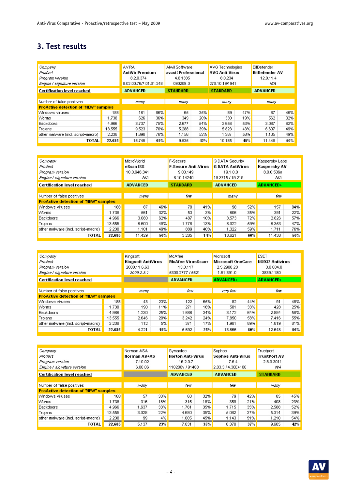## **3. Test results**

| Company                                     |        | <b>AVIRA</b>           |     | Alwil Software      |     | AVG Technologies      |     | <b>BitDefender</b>    |     |
|---------------------------------------------|--------|------------------------|-----|---------------------|-----|-----------------------|-----|-----------------------|-----|
| Product                                     |        | <b>AntiVir Premium</b> |     | avast! Professional |     | <b>AVG Anti-Virus</b> |     | <b>BitDefender AV</b> |     |
| Program version                             |        | 8.2.0.374              |     | 4.8.1335            |     | 8.0.234               |     | 12.0.11.4             |     |
| Engine / signature version                  |        | 8.02.00.76/7.01.01.248 |     | 090209-0            |     | 270.10.19/1941        |     | ΝA                    |     |
| <b>Certification level reached</b>          |        | <b>ADVANCED</b>        |     | <b>STANDARD</b>     |     | <b>STANDARD</b>       |     | <b>ADVANCED</b>       |     |
|                                             |        |                        |     |                     |     |                       |     |                       |     |
| Number of false positives                   |        | many                   |     | many                |     | many                  |     | many                  |     |
| <b>ProActive detection of "NEW" samples</b> |        |                        |     |                     |     |                       |     |                       |     |
| Windows viruses                             | 188    | 161                    | 86% | 65                  | 35% | 89                    | 47% | 87                    | 46% |
| <b>Worms</b>                                | 1.738  | 626                    | 36% | 349                 | 20% | 330                   | 19% | 562                   | 32% |
| Backdoors                                   | 4.966  | 3.737                  | 75% | 2.677               | 54% | 2.656                 | 53% | 3.087                 | 62% |
| Trojans                                     | 13.555 | 9.523                  | 70% | 5.288               | 39% | 5.823                 | 43% | 6.607                 | 49% |
| other malware (incl. script+macro)          | 2.238  | 1.698                  | 76% | 1.156               | 52% | 1.287                 | 58% | 1.105                 | 49% |
| <b>TOTAL</b>                                | 22.685 | 15.745                 | 69% | 9.535               | 42% | 10.185                | 45% | 11.448                | 50% |

| Company<br>Product<br>Program version<br>Engine / signature version      |        | MicroWorld<br>eScan ISS<br>10.0.946.341<br>ΝA |                 | F-Secure<br><b>F-Secure Anti-Virus</b><br>9.00.149<br>8.10.14240 |                 | G DATA Security<br><b>G DATA AntiVirus</b><br>19.1.0.0<br>19.3715 / 19.219 |                 | Kaspersky Labs<br>Kaspersky AV<br>8.0.0.506a<br>ΝA |     |
|--------------------------------------------------------------------------|--------|-----------------------------------------------|-----------------|------------------------------------------------------------------|-----------------|----------------------------------------------------------------------------|-----------------|----------------------------------------------------|-----|
| Certification level reached                                              |        |                                               | <b>ADVANCED</b> |                                                                  | <b>STANDARD</b> |                                                                            | <b>ADVANCED</b> |                                                    |     |
| Number of false positives<br><b>ProActive detection of "NEW" samples</b> |        | many                                          |                 | few                                                              |                 | many                                                                       |                 | few                                                |     |
| Windows viruses                                                          | 188    | 87                                            | 46%             | 78                                                               | 41%             | 98                                                                         | 52%             | 157                                                | 84% |
| Worms                                                                    | 1.738  | 561                                           | 32%             | 53                                                               | 3%              | 606                                                                        | 35%             | 391                                                | 22% |
| <b>Backdoors</b>                                                         | 4.966  | 3.080                                         | 62%             | 487                                                              | 10%             | 3.573                                                                      | 72%             | 2.826                                              | 57% |
| Trojans                                                                  | 13.555 | 6,600                                         | 49%             | 1.778                                                            | 13%             | 8.022                                                                      | 59%             | 6.353                                              | 47% |
| other malware (incl. script+macro)                                       | 2.238  | 1.101                                         | 49%             | 889                                                              | 40%             | 1.322                                                                      | 59%             | 1.711                                              | 76% |
| <b>TOTAL</b>                                                             | 22.685 | 11.429                                        | 50%             | 3.285                                                            | 14%             | 13.621                                                                     | 60%             | 11.438                                             | 50% |

| Company<br>Product<br>Program version<br>Engine / signature version |        | Kingsoft<br><b>Kingsoft AntiVirus</b><br>2008.11.6.63<br>2009.2.8.1 |     | McAfee<br><b>McAfee VirusScan+</b><br>13.3.117<br>5300.2777 / 5521 |     | Microsoft<br><b>Microsoft OneCare</b><br>2.5.2900.20<br>1.51.391.0 |     | <b>ESET</b><br><b>NOD32 Antivirus</b><br>3.0.684.0<br>3839.1180 |     |
|---------------------------------------------------------------------|--------|---------------------------------------------------------------------|-----|--------------------------------------------------------------------|-----|--------------------------------------------------------------------|-----|-----------------------------------------------------------------|-----|
| <b>Certification level reached</b>                                  |        |                                                                     |     | <b>ADVANCED</b>                                                    |     | <b>ADVANCED+</b>                                                   |     | <b>ADVANCED+</b>                                                |     |
| Number of false positives                                           |        | many                                                                |     | few                                                                |     | very few                                                           |     | few                                                             |     |
| <b>ProActive detection of "NEW" samples</b><br>Windows viruses      | 188    | 43                                                                  | 23% | 122                                                                | 65% | 82                                                                 | 44% | 91                                                              | 48% |
| Worms                                                               | 1.738  | 190                                                                 | 11% | 271                                                                | 16% | 581                                                                | 33% | 428                                                             | 25% |
| <b>Backdoors</b>                                                    | 4.966  | 1.230                                                               | 25% | 1.686                                                              | 34% | 3.172                                                              | 64% | 2.894                                                           | 58% |
| Trojans                                                             | 13.555 | 2.646                                                               | 20% | 3.242                                                              | 24% | 7.850                                                              | 58% | 7.416                                                           | 55% |
| other malware (incl. script+macro)                                  | 2.238  | 112                                                                 | 5%  | 371                                                                | 17% | 1.981                                                              | 89% | 1.819                                                           | 81% |
| TOTAL                                                               | 22.685 | 4.221                                                               | 19% | 5.692                                                              | 25% | 13,666                                                             | 60% | 12.648                                                          | 56% |

| Company<br>Product<br>Program version<br>Engine / signature version |        | Norman ASA<br><b>Norman AV+AS</b><br>7.10.02<br>6.00.06 |     | Symantec<br><b>Norton Anti-Virus</b><br>16.2.0.7<br>110208v / 91468 |     | Sophos<br><b>Sophos Anti-Virus</b><br>7.6.4<br>2.83.3 / 4.38E+180 |     | Trustport<br><b>TrustPort AV</b><br>2.8.0.3011<br>ΝA |     |
|---------------------------------------------------------------------|--------|---------------------------------------------------------|-----|---------------------------------------------------------------------|-----|-------------------------------------------------------------------|-----|------------------------------------------------------|-----|
| Certification level reached                                         |        |                                                         |     | <b>ADVANCED</b>                                                     |     | <b>ADVANCED</b>                                                   |     | <b>STANDARD</b>                                      |     |
|                                                                     |        |                                                         |     |                                                                     |     |                                                                   |     |                                                      |     |
| Number of false positives                                           |        | many                                                    |     | few                                                                 |     | few                                                               |     | many                                                 |     |
| <b>ProActive detection of "NEW" samples</b>                         |        |                                                         |     |                                                                     |     |                                                                   |     |                                                      |     |
| Windows viruses                                                     | 188    | 57                                                      | 30% | 60                                                                  | 32% | 79                                                                | 42% | 85.                                                  | 45% |
| <b>Worms</b>                                                        | 1.738  | 316                                                     | 18% | 315                                                                 | 18% | 359                                                               | 21% | 408                                                  | 23% |
| Backdoors                                                           | 4.966  | 1.637                                                   | 33% | 1.761                                                               | 35% | 1.715                                                             | 35% | 2.588                                                | 52% |
| Trojans                                                             | 13.555 | 3.028                                                   | 22% | 4.690                                                               | 35% | 5.082                                                             | 37% | 5.314                                                | 39% |
| other malware (incl. script+macro)                                  | 2.238  | 99                                                      | 4%  | 1.005                                                               | 45% | 1.143                                                             | 51% | 1.210                                                | 54% |
| TOTAL                                                               | 22.685 | 5.137                                                   | 23% | 7.831                                                               | 35% | 8.378                                                             | 37% | 9.605                                                | 42% |

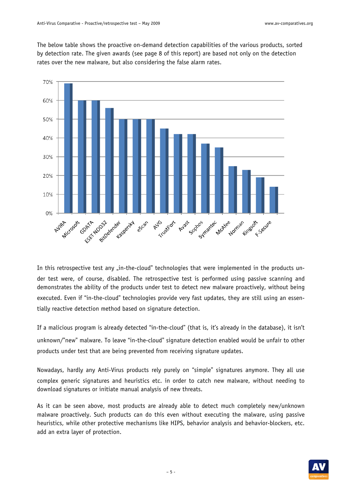The below table shows the proactive on-demand detection capabilities of the various products, sorted by detection rate. The given awards (see page 8 of this report) are based not only on the detection rates over the new malware, but also considering the false alarm rates.



In this retrospective test any "in-the-cloud" technologies that were implemented in the products under test were, of course, disabled. The retrospective test is performed using passive scanning and demonstrates the ability of the products under test to detect new malware proactively, without being executed. Even if "in-the-cloud" technologies provide very fast updates, they are still using an essentially reactive detection method based on signature detection.

If a malicious program is already detected "in-the-cloud" (that is, it's already in the database), it isn't unknown/"new" malware. To leave "in-the-cloud" signature detection enabled would be unfair to other products under test that are being prevented from receiving signature updates.

Nowadays, hardly any Anti-Virus products rely purely on "simple" signatures anymore. They all use complex generic signatures and heuristics etc. in order to catch new malware, without needing to download signatures or initiate manual analysis of new threats.

As it can be seen above, most products are already able to detect much completely new/unknown malware proactively. Such products can do this even without executing the malware, using passive heuristics, while other protective mechanisms like HIPS, behavior analysis and behavior-blockers, etc. add an extra layer of protection.

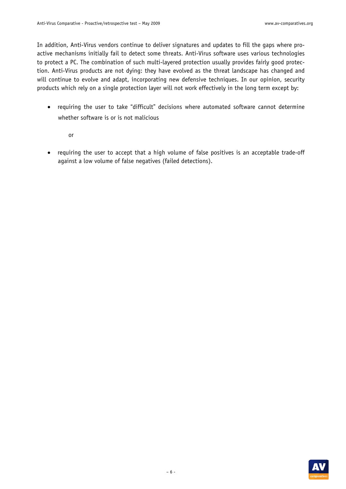In addition, Anti-Virus vendors continue to deliver signatures and updates to fill the gaps where proactive mechanisms initially fail to detect some threats. Anti-Virus software uses various technologies to protect a PC. The combination of such multi-layered protection usually provides fairly good protection. Anti-Virus products are not dying: they have evolved as the threat landscape has changed and will continue to evolve and adapt, incorporating new defensive techniques. In our opinion, security products which rely on a single protection layer will not work effectively in the long term except by:

- requiring the user to take "difficult" decisions where automated software cannot determine whether software is or is not malicious
	- or
- requiring the user to accept that a high volume of false positives is an acceptable trade-off against a low volume of false negatives (failed detections).

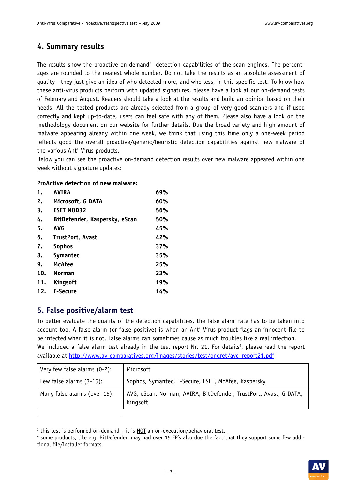#### **4. Summary results**

The results show the proactive on-demand<sup>3</sup> detection capabilities of the scan engines. The percentages are rounded to the nearest whole number. Do not take the results as an absolute assessment of quality - they just give an idea of who detected more, and who less, in this specific test. To know how these anti-virus products perform with updated signatures, please have a look at our on-demand tests of February and August. Readers should take a look at the results and build an opinion based on their needs. All the tested products are already selected from a group of very good scanners and if used correctly and kept up-to-date, users can feel safe with any of them. Please also have a look on the methodology document on our website for further details. Due the broad variety and high amount of malware appearing already within one week, we think that using this time only a one-week period reflects good the overall proactive/generic/heuristic detection capabilities against new malware of the various Anti-Virus products.

Below you can see the proactive on-demand detection results over new malware appeared within one week without signature updates:

#### **ProActive detection of new malware:**

| 1.  | <b>AVIRA</b>                  | 69% |
|-----|-------------------------------|-----|
| 2.  | Microsoft, G DATA             | 60% |
| 3.  | <b>ESET NOD32</b>             | 56% |
| 4.  | BitDefender, Kaspersky, eScan | 50% |
| 5.  | <b>AVG</b>                    | 45% |
| 6.  | TrustPort, Avast              | 42% |
| 7.  | <b>Sophos</b>                 | 37% |
| 8.  | <b>Symantec</b>               | 35% |
| 9.  | <b>McAfee</b>                 | 25% |
| 10. | <b>Norman</b>                 | 23% |
| 11. | Kingsoft                      | 19% |
| 12. | <b>F-Secure</b>               | 14% |

#### **5. False positive/alarm test**

-

To better evaluate the quality of the detection capabilities, the false alarm rate has to be taken into account too. A false alarm (or false positive) is when an Anti-Virus product flags an innocent file to be infected when it is not. False alarms can sometimes cause as much troubles like a real infection. We included a false alarm test already in the test report Nr. 21. For details<sup>4</sup>, please read the report available at http://www.av-comparatives.org/images/stories/test/ondret/avc\_report21.pdf

| Very few false alarms (0-2): | Microsoft                                                                     |
|------------------------------|-------------------------------------------------------------------------------|
| Few false alarms (3-15):     | Sophos, Symantec, F-Secure, ESET, McAfee, Kaspersky                           |
| Many false alarms (over 15): | AVG, eScan, Norman, AVIRA, BitDefender, TrustPort, Avast, G DATA,<br>Kingsoft |

<sup>&</sup>lt;sup>3</sup> this test is performed on-demand – it is <u>NOT</u> an on-execution/behavioral test.<br><sup>4</sup> some products, like e.g. BitDefender, may had over 15 FP's also due the fact t

 $4$  some products, like e.g. BitDefender, may had over 15 FP's also due the fact that they support some few additional file/installer formats.

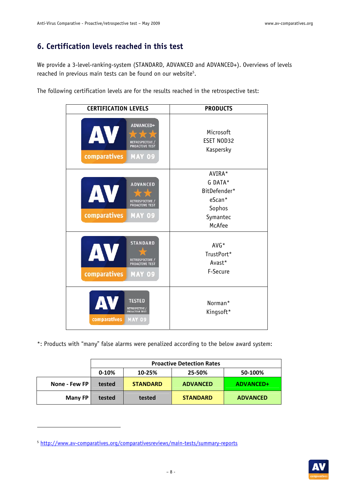## **6. Certification levels reached in this test**

We provide a 3-level-ranking-system (STANDARD, ADVANCED and ADVANCED+). Overviews of levels reached in previous main tests can be found on our website<sup>5</sup>.

The following certification levels are for the results reached in the retrospective test:

| <b>CERTIFICATION LEVELS</b>                                                                               | <b>PRODUCTS</b>                                                             |
|-----------------------------------------------------------------------------------------------------------|-----------------------------------------------------------------------------|
| ADVANCED+<br>AV<br><b>RETROSPECTIVE</b><br><b>PROACTIVE TEST</b><br>comparatives<br><b>MAY 09</b>         | Microsoft<br>ESET NOD32<br>Kaspersky                                        |
| <b>ADVANCED</b><br>AV<br>RETROSPECTIVE /<br>PROACTIVE TEST<br>comparatives<br><b>MAY 09</b>               | AVIRA*<br>G DATA*<br>BitDefender*<br>eScan*<br>Sophos<br>Symantec<br>McAfee |
| <b>STANDARD</b><br>AV<br><b>RETROSPECTIVE /</b><br><b>PROACTIVE TEST</b><br>comparatives<br><b>MAY 09</b> | $AVG*$<br>TrustPort*<br>Avast*<br>F-Secure                                  |
| AV<br><b>TESTED</b><br>RETROSPECTIVE /<br><b>PROACTIVE TEST</b><br>comparatives<br><b>MAY 09</b>          | Norman*<br>Kingsoft*                                                        |

\*: Products with "many" false alarms were penalized according to the below award system:

|                | <b>Proactive Detection Rates</b> |                 |                 |                 |  |  |  |
|----------------|----------------------------------|-----------------|-----------------|-----------------|--|--|--|
|                | $0-10%$                          | 10-25%          | 25-50%          | 50-100%         |  |  |  |
| None - Few FP  | tested                           | <b>STANDARD</b> | <b>ADVANCED</b> | ADVANCED+       |  |  |  |
| <b>Many FP</b> | tested                           | tested          | <b>STANDARD</b> | <b>ADVANCED</b> |  |  |  |

-



<sup>5</sup> http://www.av-comparatives.org/comparativesreviews/main-tests/summary-reports